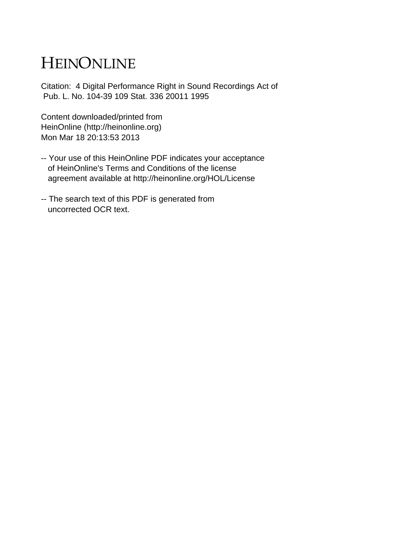## HEINONLINE

Citation: 4 Digital Performance Right in Sound Recordings Act of Pub. L. No. 104-39 109 Stat. 336 20011 1995

Content downloaded/printed from HeinOnline (http://heinonline.org) Mon Mar 18 20:13:53 2013

- -- Your use of this HeinOnline PDF indicates your acceptance of HeinOnline's Terms and Conditions of the license agreement available at http://heinonline.org/HOL/License
- -- The search text of this PDF is generated from uncorrected OCR text.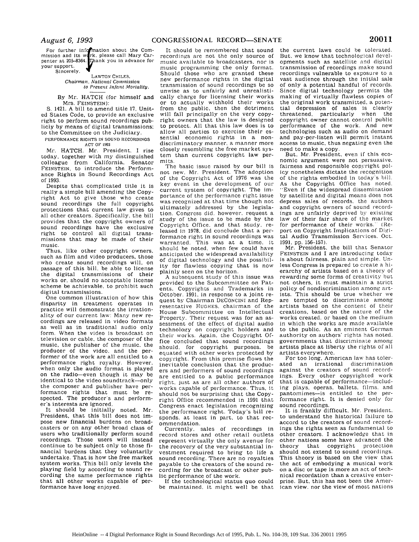For further information about the Com-<br>mission and its work, please call Mary Car-<br>penter at 205–8364. **Thank** you in advance for your support. Sincerely.

## LAWTON CHILES, *Chairman, National Coninission to Prevent Infant Mortality.*

By Mr. HATCH (for himself and Mrs. FEINSTEIN):

S. 1421. A bill to amend title 17, United States Code, to provide an exclusive right to perform sound recordings publicly by means of digital transmissions: to the Committee on the Judiciary.

PERFORMANCE RIGHTS **IN** SOUND **RECORDINGS** ACT OF 1993

Mr. HATCH. Mr. President. I rise today, together with my distinguished colleague from California. Senator FEINSTEIN, to introduce the Performance Rights in Sound Recordings Act of 1993.

Despite that complicated title it is really a simple bill amending the Copyright Act to give those who create sound recordings the full copyright protections that current law gives to all other creators. Specifically. the bill provides that the copyright owners of sound recordings have the exclusive right to control all digital transmissions that may be made of their music.

Thus, like other copyright owners. such as film and video producers, those who create sound recordings will. on passage of this bill. be able to license the digital transmissions of their works or, should no acceptable license scheme be achievable, to prohibit such digital transmissions.

One common illustration of how this disparity in treatment operates in practice will demonstrate the irrationality of our current law: Many new recordings are released in video formats as well as in traditional audio only form. When the video is broadcast on television or cable, the composer of the music, the publisher of the music, the producer of the video. and the performer of the work are all entitled to a performance right royalty. However. when only the audio format is played on the radio-even though it may be identical to the video soundtrack-only the composer and publisher have performance rights that must be respected. The producer's and performer's interests are ignored.

It should be initially noted. Mr. President, that this bill does not impose new financial burdens on broadcasters or on any other broad class of users who traditionally perform sound recordings. Those users will instead continue to be subject only to those financial burdens that they voluntarily undertake. That is how the free market system works. This bill only levels the playing field by according to sound recording the same performance rights that all other works capable of performance have long enjoyed.

It should be remembered that sound recordings are not the only source of music available to broadcasters. nor is music programming the only format. Should those who are granted these new performance rights in the digital transmission of sound recordings be so unwise as to unfairly and unrealistically charge for licensing their works or to actually withhold their works from the public, then the detriment will fall principally on the very copyright owners that the law is designed to protect. All that this law does is to allow all parties to exercise their essential economic rights in a nondiscriminatory manner, a manner more closely resembling the free market system than current copyright law permits.

The basic issue raised by our bill is not new. Mr. President. The adoption of the Copyright Act of 1976 was the key event in the development of our current system of copyright. The importance of the performance right issue was recognized at that time though not ultimately addressed by the legislation. Congress did. however. request a study of the issue to be made by the Copyright Office. and that study, released in 1978. did conclude that a performance right in sound recordings was warranted. This was at a time. it should be noted, when few could have anticipated the widespread availability of digital technology and the possibility for flawless copying that is now plainly seen on the horizon.

A subsequent study of this issue was provided to the Subcommittee on Patents. Copyrights and Trademarks in October. 1991. in response to a joint request by Chairman DECONCINI and Representative HUGHES. chairman of the House Subcommittee on Intellectual Property. Their request was for an assessment of the effect of digital audio technology on copyright holders and their works. Again. the Copyright Office concluded that sound recordings should. for copyright purposes. be equated with other works protected by copyright. From this premise flows the inevitable conclusion that the producers and performers of sound recordings are entitled to a public performance right. just as are all other authors of works capable of performance. Thus, it should not be surprising that the Copyright Office recommended in 1991 that Congress enact legislation recognizing the performance right. Today's bill responds. at least in part. to that recommendation.

Currently. sales of recordings in record stores and other retail outlets represent virtually the only avenue for the recovery of the very substantial investment required to bring to life a sound recording. There are no royalties payable to the creators of the sound recording for the broadcast or other public performance of the work.

If the technological status quo could be maintained, it might well be that the current laws could be tolerated. But, we know that technological developments such as satellite and digital transmission of recordings make sound recordings vulnerable to exposure to a vast audience through the initial sale of only a potential handful of records. Since digital technology permits the making of virtually flawless copies of the original work transmitted, a potential depression of sales is clearly threatened, particularly when the copyright owner cannot control public performance of the work. And new technologies such as audio on demand and pay-per-listen will permit instant access to music, thus negating even the need to make a copy.

But. Mr. President. even if this economic argument were not persuasive. fairness and responsible copyright policy nonetheless dictate the recognition of the rights embodied in today's bill. As the Copyright Office has noted. "Even if the widespread dissemination by satellite and digital means does not depress sales of records, the authors and copyright owners of sound recordings are unfairly deprived by existing law of their fair share of the market<br>for performance of their works." (Refor performance of their works.<sup>1</sup> port on Copyright Implications of Digital Audio Transmission Services. Oct. 1991, pp. 156-157).

Mr. President, the bill that Senator FEINSTEIN and I are introducing today is about fairness, plain and simple. Unless Congress is prepared to create a hierarchy of artists based on a theory of rewarding some forms of creativity but not others, it must maintain a strict policy of nondiscrimination among artists. This should be true whether we are tempted to discriminate among artists based on the content of their creations, based on the nature of the works created, or based on the medium in which the works are made available to the public. As an eminent German authority on authors' rights has noted. governments that discriminate among artists place at liberty the rights of all artists everywhere.

For too long, American law has tolerated an irrational discrimination against the creators of sound recordings. Every other copyrighted work that is capable of performance-including plays, operas. ballets, films. and pantomimes-is entitled to the performance right. It is denied only for sound recordings.

It is frankly difficult. Mr. President. to understand the historical failure to accord to the creators of sound recordings the rights seen as fundamental to other creators. I acknowledge that in other nations some have advanced the theory that copyright protection should not extend to sound recordings. This theory is based on the view that the act of embodying a musical work on a disc or tape is more an act of technical recordation than a creative enterprise. But. this has not been the American view. nor the view of most nations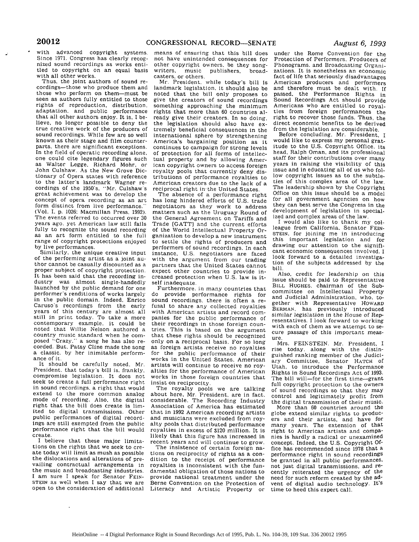with advanced copyright systems.

**20012**

 $\bullet$ 

Since 1971. Congress has clearly recognized sound recordings as works entitled to copyright on an equal basis with all other works.<br>Thus, the joint authors of sound re-

cordings—those who produce them and those who perform on them-must be seen as authors fully entitled to those rights of reproduction, distribution. adaptation, and public performance that all other authors enjoy. It is, I believe, no longer possible to deny the true creative work of the producers of sound recordings. While few are so well known as their stage and film counterparts, there are significant exceptions. In the field of operatic recording alone,<br>one could cite legendary figures such as Walter Legge. Richard Mohr, or John Culshaw. As the New Grove Dictionary of Opera states with reference to the latter's landmark Wagner re- cordings of the 1950's. "Mr. Culshaw's great achievement was to develop the concept of opera recording as an art form distinct from live performance." (Vol. I. p. 1026: Macmillan Press, 1992). The events referred to occurred over 30 years ago, yet American law still fails fully to recognize the sound recording as an art form entitled to the full range of copyright protections enjoyed by live performances.

Similarly, the unique creative input of the performing artist as a joint au- thor cannot be casually discounted as a proper subject of copyright protection. It has been said that the recording industry was almost single-handedly launched by the public demand for one performer's renditions of works largely in the public domain. Indeed. Enrico Caruso's recordings from the early years of this century are almost all still in print today. To take a more contemporary example, it could be noted that Willie Nelson authored a country music standard when he composed "Crazy." a song he has also re- corded. But. Patsy Cline made the song a classic, by her inimitable performance of it.

It should be carefully noted, Mr. President. that today's bill is. frankly. compromise legislation. It does not seek to create a full performance right in sound recordings, a right that would extend to the more common analog mode of recording. Also, the digital right that the bill does create is limited to digital transmissions. Other public performances of digital recordings are still exempted from the public performance right that the bill would create.

I believe that these major limitations on the rights that we seek to create today will limit as mush as possible the dislocations and alterations of prevailing contractual arrangements in the music and broadcasting industries. I am sure I speak for Senator FEIN-STEIN as well when I say that we are open to the consideration of additional

 $\ddot{\phantom{a}}$ 

means of ensuring that this bill does not have unintended consequences for other copyright owners, be they song-<br>writers, music publishers, broadwriters, music publishers, casters, or others.

Mr. President, while today's bill is landmark legislation, it should also be noted that the bill only proposes to give the creators of sound recordings something approaching the minimum rights that more than 60 countries already give their creators. In so doing, the legislation should also have extremely beneficial consequences in the international sphere by strengthening America's bargaining position as it continues to campaign for strong levels of protection for all forms of intellectual property and by allowing American copyright owners to access foreign royalty pools that currently deny distributions of performance royalties to American creators due to the lack of a reciprocal right in the United States.

The absence of a performance right has long hindered efforts of U.S. trade negotiators as they work to address matters such as the Uruguay Round of the General Agreement on Tariffs and Trade [GATT] and the current efforts of the World Intellectual Property Organization to develop a new instrument to settle the rights of producers and performers of sound recordings. In each instance, U.S. negotiators are faced with the argument from our trading partners that the United States cannot expect other countries to provide increased protection when U.S. law is itself inadequate.

Furthermore. in many countries that do provide performance rights for<br>sound recordings, there is often a refusal to share any collected royalties with American artists and record companies for the public performance of<br>their recordings in those foreign countries. This is based on the argument that these rights should be recognized<br>only on a reciprocal basis. For so long as foreign artists receive no royalties for the public performance of their works in the United States. American artists will continue to receive no royalties for the performance of American works in those foreign countries that insist on reciprocity.

The royalty pools we are talking about here, Mr. President, are in fact. considerable. The Recording Industry Association of America has estimated that in 1992 American recording artists and musicians were excluded from royalty pools that distributed performance royalties in excess of S120 million. It is likely that this figure has increased in

recent years and will continue to grow.<br>The insistence of certain foreign na-<br>tions on reciprocity of rights as a condition to the receipt of performance royalties is inconsistent with the fundamental obligation of those nations to provide national treatment under the Berne Convention on the Protection of Literacy and Artistic Property or under the Rome Convention for the Protection of Performers. Producers of Phonograms. and Broadcasting Organizations. It is nonetheless an economic fact of life that seriously disadvantages American producers and performers and therefore must be dealt with. If passed, the Performance Rights in<br>Sound Recordings Act should provide Americans who are entitled to royalties from foreign performances the right to recover those funds. Thus, the direct economic benefits to be derived from the legislation are considerable.

Before concluding, Mr. President, I would like to express my personal gratitude to the U.S. Copyright Office. its head, Ralph Oman, and its professional staff for their contributions over many years in raising the visibility of this issue and in educating all of us who follow copyright issues as to the subtleties of this complex area of the law. The leadership shown by the Copyright Office on this issue should be a model for all government agencies on how they can best serve the Congress in the development of legislation in specialized and complex areas of the law.

I would also like to thank my colleague from California, Senator FEIN-**STEIN,** for joining me in introducing this important legislation and for drawing our attention to the significant economic consequences involved. I look forward to a detailed investigation of the subjects addressed by the bill.

Also, credit for leadership on this issue should be paid to Representative BILL **HUGHES.** chairman of the Subcommittee on Intellectual Property and Judicial Administration, who. together with Representative HOWARD BERMAN, has previously introduced similar legislation in the House of Representatives. I look forward to working with each of them as we attempt to secure passage of this important measure.

Mrs. FEINSTEIN. Mr. President, I rise today, along with the distinguished ranking member of the Judiciary Committee, Senator HATCH of Utah, to introduce the Performance Rights in Sound Recordings Act of 1993. The bill will-for the first time-grant full copyright protection to the owners of sound recordings so that they may control and legitimately profit from the digital transmission of their music.

More than 60 countries around the globe extend similar rights to producers and their artists, and have for many years. The extension of that right to American artists and companies is hardly a radical or unexamined concept. Indeed, the U.S. Copyright Office has recommended since 1978 that a performance right in sound recordings be granted in all public performances, not just digital transmissions, and recently reiterated the urgency of the need for such reform created by the advent of digital audio technology. It's time to heed this expert call.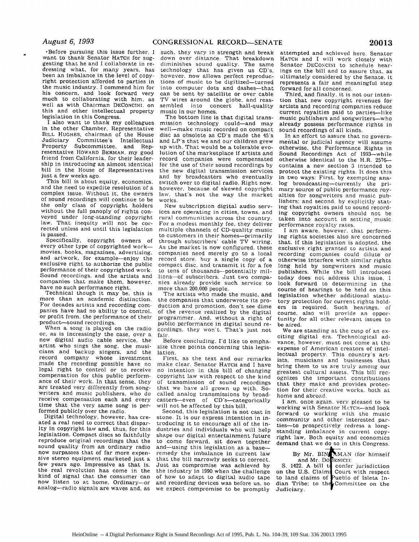-Before pursuing this issue further, I want to thank Senator HATCH for suggesting that he and I collaborate in redressing what, for many years, has been an imbalance in the level of copyright protection afforded to parties in the music industry. I commend him for his concern, and look forward very much to collaborating with him. as well as with Chairman DECONCINI. on this and other intellectual property legislation in this Congress.

I also want to thank my colleagues in the other Chamber, Representative BILL HUGHES, chairman of the House<br>Judiciary Committee's Intellectual Committee's Intellectual Property Subcommittee, and Representative HOWARD BERMAN. my good friend from California, for their leadership in introducing an almost identical bill in the House of Representatives<br>just a few weeks ago.

This bill is about equity, economics.<br>and the need to expedite resolution of a complex issue. Without it, the owners of sound recordings will continue to be the only class of copyright holders without the full panoply of rights con-<br>veyed under long-standing copyright law. That inequity will not be cor-<br>rected unless and until this legislation is passed.

Specifically, copyright owners of every other type of copyrighted workmovies, books, magazines, advertising. and artwork, for example-enjoy the exclusive right to authorize the public performance of their copyrighted work. Sound recordings, and the artists and companies that make them. however. have no such performance right.

Technical though it may be, this is more than an academic distinction. For decades artists and recording companies have had no ability to control. or profit from. the performance of their product-sound recordings.<br>When a song is played on the radio

or, as is increasingly the case, over a new digital audio cable service, the artist who sings the song, the musicians and backup singers, and the record company whose investment<br>made the recording possible have no legal right to control or to receive compensation for this public performance of their work. In that sense, they are treated very differently from songwriters and music publishers, who do receive compensation each and every time that the very same song is performed publicly over the radio.

ated a real need to correct that disparity in copyright law and, thus, for this legislation. Compact discs so faithfully reproduce original recordings that the sound quality from an ordinary radio now surpasses that of far more expensive stereo equipment marketed just a few years ago. Impressive as that is. the real revolution has come in the kind of signal that the consumer can now listen to at home. Ordinary-or analog-radio signals are waves and, as

such, they vary in strength and break down over distance. That breakdown diminishes sound quality. The same technology that has given us CD's. however, now allows perfect reproductions of music to be digitized-turned into computer dots and dashes-that can be sent by satellite or over cable<br>TV wires around the globe, and reassembled into concert hall-quality music in our homes.

The bottom line is that digital transmission technology could-and may well-make music recorded on compact disc as obsolete as CD's made the 45's and LP's that we and our children grew up with. That would be a tolerable evolution of the marketplace if artists and record companies were compensated for the use of their sound recordings by the new digital transmission services and by broadcasters who eventually switch over to digital radio. Right now. however, because of skewed copyright law. that's not the way the market works.

New subscription digital audio services are operating in cities, towns, and rural communities across the country. For a modest monthly fee, they deliver multiple channels of CD-quality music to customers in their homes-primarily through subscribers' cable TV wiring. As the market is now configured. these companies need merely go to a local record store, buy a single copy of a compact disc. and transmit it for a fee to tens of thousands-potentially millions-of subscribers. Just two companies already provide such service to more than 200.000 people.

The artists who made the music, and the companies that underwrote its production and promotion. don't see dime of the revenue realized by the digital programmer. And. without a right of cordings. they won't. That's just not fair.

Before concluding. I'd like to emphasize three points concerning this legislation.

First, as the text and our remarks<br>make clear. Senator HATCH and I have no intention in this bill of changing copyright law with respect to the kind of transmission of sound recordings that we have all grown up with. Socalled analog transmissions by broadcasters-even of CD's-categorically will not be affected by this bill.

Second. this legislation is not cast in stone. It is our express intention in introducing it to encourage all of the industries and individuals who will help shape our digital entertainment future to come forward, sit down together and-using this legislation as a baseremedy the imbalance in current law that the bill narrowly seeks to correct. Just as compromise was achieved by the industry in 1990 when the challenge of how to adapt to digital audio tape<br>and recording devices was before us, so we expect compromise to be promptly.

attempted and achieved here. Senator HATCH and I will work closely with Senator DECONCINI to schedule hear-<br>ings on the bill and to assure that, as ultimately considered by the Senate. it represents a fair and meaningful step forward for all concerned.

Third, and finally, it is not our intention that new copyright revenues for artists and recording companies reduce current royalties paid to parties-like music publishers and songwriters-who already possess performance rights in sound recordings of all kinds.

In an effort to assure that no governmental or judicial agency will assume otherwise, the Performance Rights in Sound Recordings Act of 1993-while otherwise identical to the H.R. 2576contains a new section 3 intended to protect the existing rights. It does this in two ways: First. by exempting analog broadcasting-currently the primary source of public performance royalties for songwriters and music publishers: and second. by explicitly stating that royalties paid to sound recording copyright owners should not be taken into account in setting music performance royalty rates.

I am aware. however, that performing rights societies also **are** concerned that, if this legislation is adopted, the exclusive right granted to artists and recording companies could dilute or otherwise interfere with similar rights long held by songwriters and music publishers. While the bill introduced today does not address this issue. I look forward to determining in the course of hearings to be held on this legislation whether additional statutory protection for current rights hold- ers is required. Such hearings, of course, also will provide an opportunity for all other relevant issues to be aired.<br>We are standing at the cusp of an ex-

citing digital era. Technological advance, however, must not come at the expense of American creators of intellectual property. This country's artists, musicians and businesses that bring them to us are truly among our greatest cultural assets. This bill recognizes the important contributions that they make and provides protection for their creative works, both at home and abroad.

I am. once again, very pleased to be working with Senator HATCH-and look forward to working with the music community and other interested parties-to prospectively redress a longstanding imbalance in current copyright law. Both equity and economics demand that we do so in this Congress.

## By Mr. BIN - **MAN** (for himself and Mr. Dollenici):

**S. 1422. A bill to confer jurisdiction** on the U.S. Claim Court with respect to land claims of Pueblo of Isleta Indian Tribe: to the Committee on the Judiciary.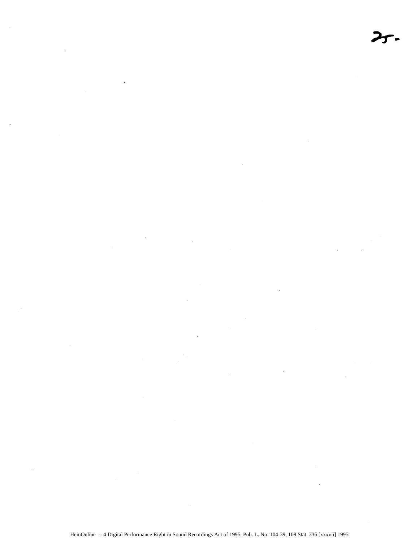$\ddot{\phantom{a}}$ 

 $\sim 10^{-10}$  $\sim 10^6$ 

 $\sim 10^{11}$  $\sim$ 

 $\mathcal{L}^{\text{max}}_{\text{max}}$  and  $\mathcal{L}^{\text{max}}_{\text{max}}$  $\mathcal{L}^{\text{max}}_{\text{max}}$  ,  $\mathcal{L}^{\text{max}}_{\text{max}}$